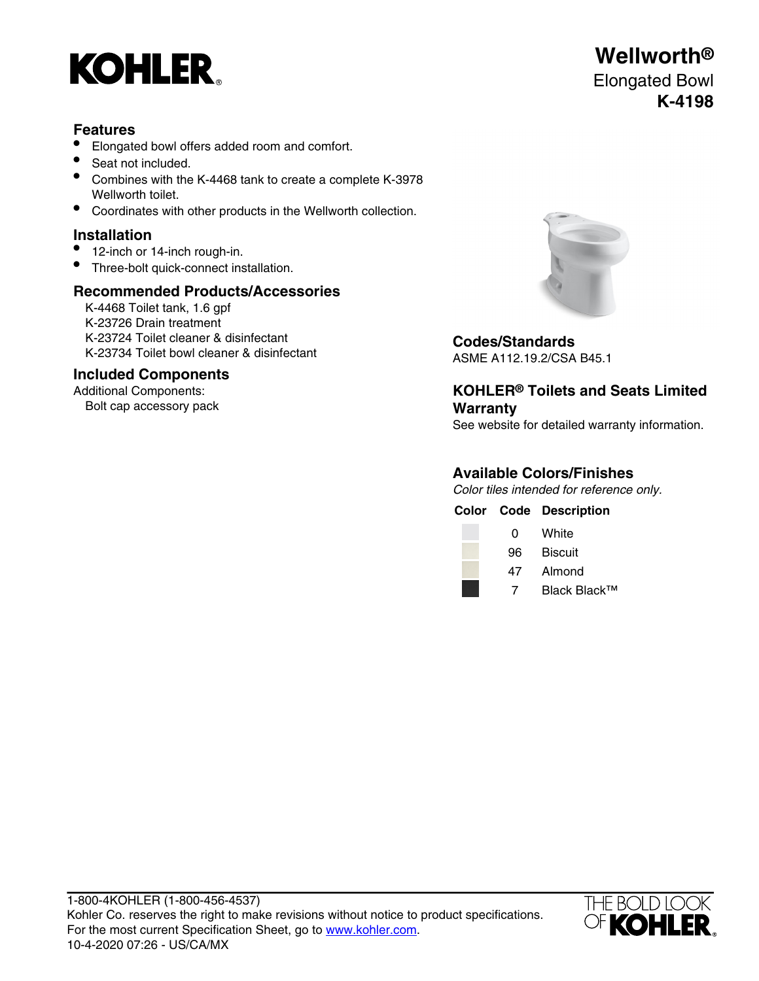

# **Features**

- Elongated bowl offers added room and comfort.
- Seat not included.
- Combines with the K-4468 tank to create a complete K-3978 Wellworth toilet.
- Coordinates with other products in the Wellworth collection.

# **Installation**

- 12-inch or 14-inch rough-in.
- Three-bolt quick-connect installation.

### **Recommended Products/Accessories**

K-4468 Toilet tank, 1.6 gpf K-23726 Drain treatment K-23724 Toilet cleaner & disinfectant **Codes/Standards** K-23734 Toilet bowl cleaner & disinfectant ASME A112.19.2/CSA B45.1

### **Included Components**

Additional Components: Bolt cap accessory pack



**KOHLER® Toilets and Seats Limited Warranty**

See website for detailed warranty information.

# **Available Colors/Finishes**

Color tiles intended for reference only.

|     | <b>Color Code Description</b> |
|-----|-------------------------------|
| 0   | White                         |
| 96. | <b>Biscuit</b>                |
| 47  | Almond                        |
| 7   | Black Black™                  |



# **Wellworth®** Elongated Bowl **K-4198**